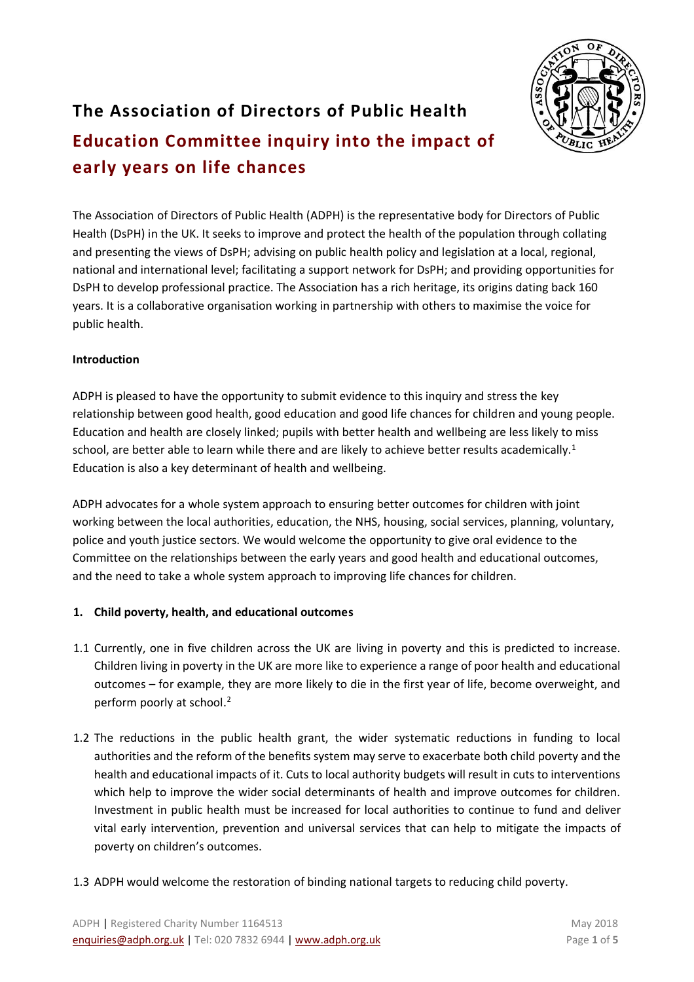

# **The Association of Directors of Public Health Education Committee inquiry into the impact of early years on life chances**

The Association of Directors of Public Health (ADPH) is the representative body for Directors of Public Health (DsPH) in the UK. It seeks to improve and protect the health of the population through collating and presenting the views of DsPH; advising on public health policy and legislation at a local, regional, national and international level; facilitating a support network for DsPH; and providing opportunities for DsPH to develop professional practice. The Association has a rich heritage, its origins dating back 160 years. It is a collaborative organisation working in partnership with others to maximise the voice for public health. 

# **Introduction**

ADPH is pleased to have the opportunity to submit evidence to this inquiry and stress the key relationship between good health, good education and good life chances for children and young people. Education and health are closely linked; pupils with better health and wellbeing are less likely to miss school, are better able to learn while there and are likely to achieve better results academically.<sup>1</sup> Education is also a key determinant of health and wellbeing.

ADPH advocates for a whole system approach to ensuring better outcomes for children with joint working between the local authorities, education, the NHS, housing, social services, planning, voluntary, police and youth justice sectors. We would welcome the opportunity to give oral evidence to the Committee on the relationships between the early years and good health and educational outcomes, and the need to take a whole system approach to improving life chances for children.

# **1. Child poverty, health, and educational outcomes**

- 1.1 Currently, one in five children across the UK are living in poverty and this is predicted to increase. Children living in poverty in the UK are more like to experience a range of poor health and educational outcomes – for example, they are more likely to die in the first year of life, become overweight, and perform poorly at school.<sup>2</sup>
- 1.2 The reductions in the public health grant, the wider systematic reductions in funding to local authorities and the reform of the benefits system may serve to exacerbate both child poverty and the health and educational impacts of it. Cuts to local authority budgets will result in cuts to interventions which help to improve the wider social determinants of health and improve outcomes for children. Investment in public health must be increased for local authorities to continue to fund and deliver vital early intervention, prevention and universal services that can help to mitigate the impacts of poverty on children's outcomes.
- 1.3 ADPH would welcome the restoration of binding national targets to reducing child poverty.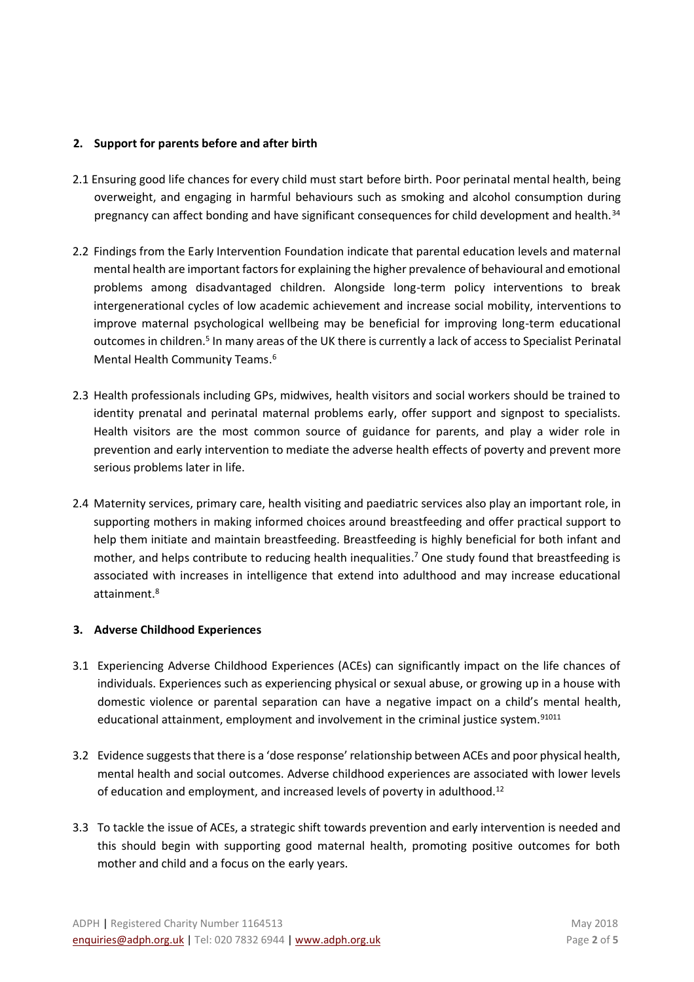# **2. Support for parents before and after birth**

- 2.1 Ensuring good life chances for every child must start before birth. Poor perinatal mental health, being overweight, and engaging in harmful behaviours such as smoking and alcohol consumption during pregnancy can affect bonding and have significant consequences for child development and health.<sup>34</sup>
- 2.2 Findings from the Early Intervention Foundation indicate that parental education levels and maternal mental health are important factors for explaining the higher prevalence of behavioural and emotional problems among disadvantaged children. Alongside long-term policy interventions to break intergenerational cycles of low academic achievement and increase social mobility, interventions to improve maternal psychological wellbeing may be beneficial for improving long-term educational outcomes in children.<sup>5</sup> In many areas of the UK there is currently a lack of access to Specialist Perinatal Mental Health Community Teams. 6
- 2.3 Health professionals including GPs, midwives, health visitors and social workers should be trained to identity prenatal and perinatal maternal problems early, offer support and signpost to specialists. Health visitors are the most common source of guidance for parents, and play a wider role in prevention and early intervention to mediate the adverse health effects of poverty and prevent more serious problems later in life.
- 2.4 Maternity services, primary care, health visiting and paediatric services also play an important role, in supporting mothers in making informed choices around breastfeeding and offer practical support to help them initiate and maintain breastfeeding. Breastfeeding is highly beneficial for both infant and mother, and helps contribute to reducing health inequalities. <sup>7</sup> One study found that breastfeeding is associated with increases in intelligence that extend into adulthood and may increase educational attainment.<sup>8</sup>

# **3. Adverse Childhood Experiences**

- 3.1 Experiencing Adverse Childhood Experiences (ACEs) can significantly impact on the life chances of individuals. Experiences such as experiencing physical or sexual abuse, or growing up in a house with domestic violence or parental separation can have a negative impact on a child's mental health, educational attainment, employment and involvement in the criminal justice system.<sup>91011</sup>
- 3.2 Evidence suggests that there is a 'dose response' relationship between ACEs and poor physical health, mental health and social outcomes. Adverse childhood experiences are associated with lower levels of education and employment, and increased levels of poverty in adulthood.<sup>12</sup>
- 3.3 To tackle the issue of ACEs, a strategic shift towards prevention and early intervention is needed and this should begin with supporting good maternal health, promoting positive outcomes for both mother and child and a focus on the early years.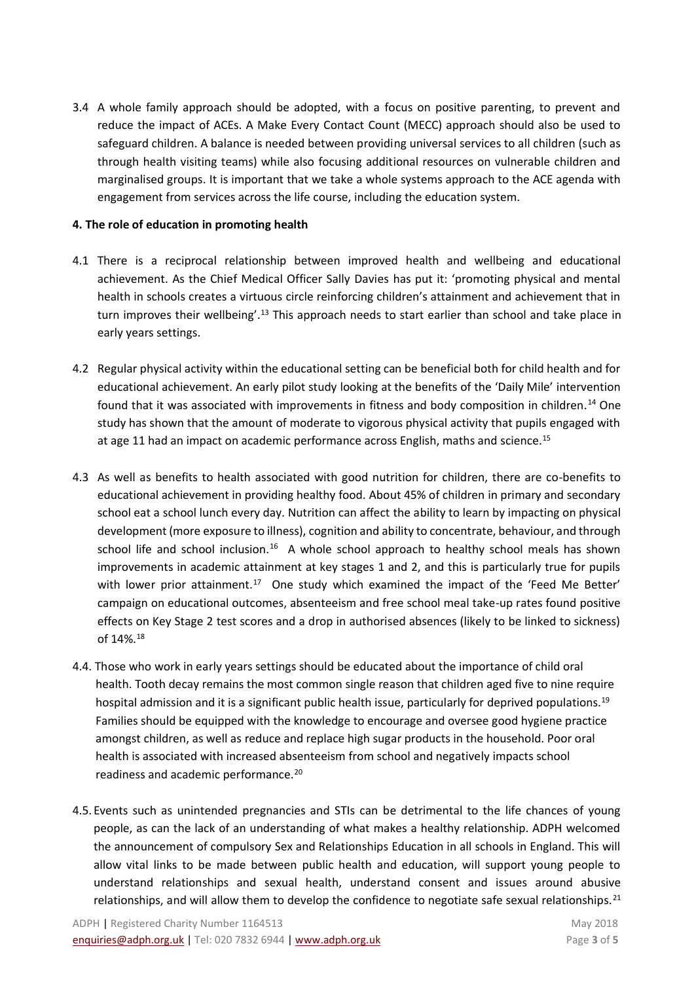3.4 A whole family approach should be adopted, with a focus on positive parenting, to prevent and reduce the impact of ACEs. A Make Every Contact Count (MECC) approach should also be used to safeguard children. A balance is needed between providing universal services to all children (such as through health visiting teams) while also focusing additional resources on vulnerable children and marginalised groups. It is important that we take a whole systems approach to the ACE agenda with engagement from services across the life course, including the education system.

# **4. The role of education in promoting health**

- 4.1 There is a reciprocal relationship between improved health and wellbeing and educational achievement. As the Chief Medical Officer Sally Davies has put it: 'promoting physical and mental health in schools creates a virtuous circle reinforcing children's attainment and achievement that in turn improves their wellbeing'.<sup>13</sup> This approach needs to start earlier than school and take place in early years settings.
- 4.2 Regular physical activity within the educational setting can be beneficial both for child health and for educational achievement. An early pilot study looking at the benefits of the 'Daily Mile' intervention found that it was associated with improvements in fitness and body composition in children.<sup>14</sup> One study has shown that the amount of moderate to vigorous physical activity that pupils engaged with at age 11 had an impact on academic performance across English, maths and science.<sup>15</sup>
- 4.3 As well as benefits to health associated with good nutrition for children, there are co-benefits to educational achievement in providing healthy food. About 45% of children in primary and secondary school eat a school lunch every day. Nutrition can affect the ability to learn by impacting on physical development (more exposure to illness), cognition and ability to concentrate, behaviour, and through school life and school inclusion.<sup>16</sup> A whole school approach to healthy school meals has shown improvements in academic attainment at key stages 1 and 2, and this is particularly true for pupils with lower prior attainment.<sup>17</sup> One study which examined the impact of the 'Feed Me Better' campaign on educational outcomes, absenteeism and free school meal take-up rates found positive effects on Key Stage 2 test scores and a drop in authorised absences (likely to be linked to sickness) of 14%.<sup>18</sup>
- 4.4. Those who work in early years settings should be educated about the importance of child oral health. Tooth decay remains the most common single reason that children aged five to nine require hospital admission and it is a significant public health issue, particularly for deprived populations.<sup>19</sup> Families should be equipped with the knowledge to encourage and oversee good hygiene practice amongst children, as well as reduce and replace high sugar products in the household. Poor oral health is associated with increased absenteeism from school and negatively impacts school readiness and academic performance.<sup>20</sup>
- 4.5. Events such as unintended pregnancies and STIs can be detrimental to the life chances of young people, as can the lack of an understanding of what makes a healthy relationship. ADPH welcomed the announcement of compulsory Sex and Relationships Education in all schools in England. This will allow vital links to be made between public health and education, will support young people to understand relationships and sexual health, understand consent and issues around abusive relationships, and will allow them to develop the confidence to negotiate safe sexual relationships.<sup>21</sup>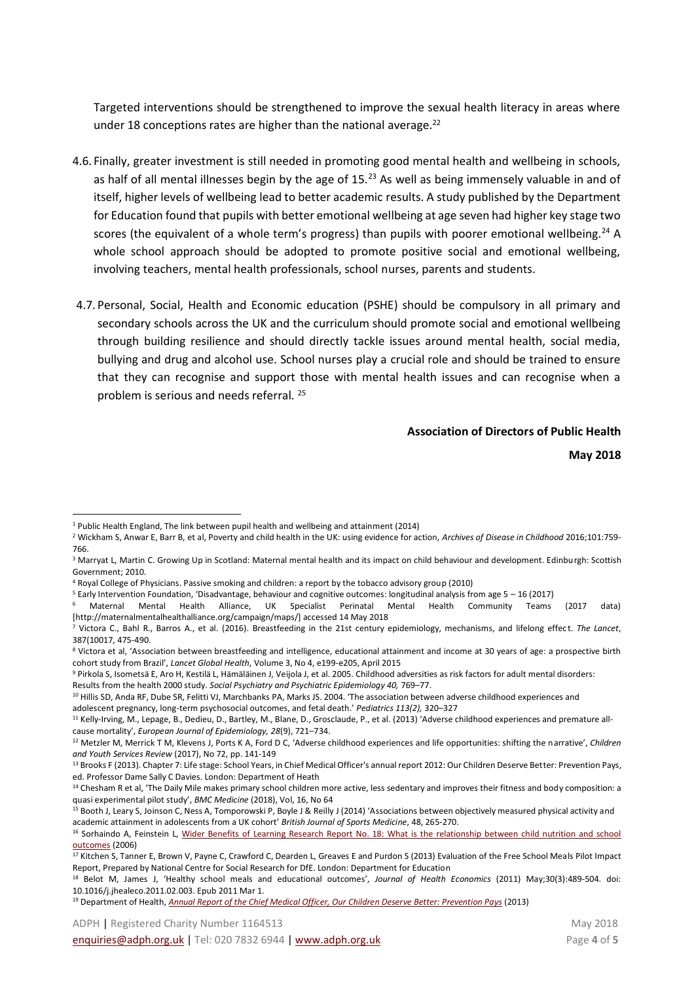Targeted interventions should be strengthened to improve the sexual health literacy in areas where under 18 conceptions rates are higher than the national average.<sup>22</sup>

- 4.6. Finally, greater investment is still needed in promoting good mental health and wellbeing in schools, as half of all mental illnesses begin by the age of  $15<sup>23</sup>$  As well as being immensely valuable in and of itself, higher levels of wellbeing lead to better academic results. A study published by the Department for Education found that pupils with better emotional wellbeing at age seven had higher key stage two scores (the equivalent of a whole term's progress) than pupils with poorer emotional wellbeing.<sup>24</sup> A whole school approach should be adopted to promote positive social and emotional wellbeing, involving teachers, mental health professionals, school nurses, parents and students.
- 4.7. Personal, Social, Health and Economic education (PSHE) should be compulsory in all primary and secondary schools across the UK and the curriculum should promote social and emotional wellbeing through building resilience and should directly tackle issues around mental health, social media, bullying and drug and alcohol use. School nurses play a crucial role and should be trained to ensure that they can recognise and support those with mental health issues and can recognise when a problem is serious and needs referral. <sup>25</sup>

#### **Association of Directors of Public Health**

**May 2018** 

l

<sup>1</sup> Public Health England, The link between pupil health and wellbeing and attainment (2014)

<sup>2</sup> Wickham S, Anwar E, Barr B, et al, Poverty and child health in the UK: using evidence for action, *Archives of Disease in Childhood* 2016;101:759- 766.

<sup>&</sup>lt;sup>3</sup> Marryat L, Martin C. Growing Up in Scotland: Maternal mental health and its impact on child behaviour and development. Edinburgh: Scottish Government; 2010.

<sup>4</sup> Royal College of Physicians. Passive smoking and children: a report by the tobacco advisory group (2010)

 $5$  Early Intervention Foundation, 'Disadvantage, behaviour and cognitive outcomes: longitudinal analysis from age  $5 - 16$  (2017)

<sup>6</sup> Maternal Mental Health Alliance, UK Specialist Perinatal Mental Health Community Teams (2017 data) [http://maternalmentalhealthalliance.org/campaign/maps/] accessed 14 May 2018

<sup>&</sup>lt;sup>7</sup> Victora C., Bahl R., Barros A., et al. (2016). Breastfeeding in the 21st century epidemiology, mechanisms, and lifelong effect. The Lancet, 387(10017, 475-490.

<sup>8</sup> Victora et al, 'Association between breastfeeding and intelligence, educational attainment and income at 30 years of age: a prospective birth cohort study from Brazil', *Lancet Global Health*, Volume 3, No 4, e199-e205, April 2015

<sup>9</sup> Pirkola S, Isometsä E, Aro H, Kestilä L, Hämäläinen J, Veijola J, et al. 2005. Childhood adversities as risk factors for adult mental disorders: Results from the health 2000 study. *Social Psychiatry and Psychiatric Epidemiology 40,* 769–77.

<sup>&</sup>lt;sup>10</sup> Hillis SD, Anda RF, Dube SR, Felitti VJ, Marchbanks PA, Marks JS. 2004. 'The association between adverse childhood experiences and adolescent pregnancy, long-term psychosocial outcomes, and fetal death.' *Pediatrics 113(2),* 320–327

<sup>&</sup>lt;sup>11</sup> Kelly-Irving, M., Lepage, B., Dedieu, D., Bartley, M., Blane, D., Grosclaude, P., et al. (2013) 'Adverse childhood experiences and premature allcause mortality', *European Journal of Epidemiology, 28*(9), 721–734.

<sup>12</sup> Metzler M, Merrick T M, Klevens J, Ports K A, Ford D C, 'Adverse childhood experiences and life opportunities: shifting the narrative', *Children and Youth Services Review* (2017), No 72, pp. 141-149

<sup>&</sup>lt;sup>13</sup> Brooks F (2013). Chapter 7: Life stage: School Years, in Chief Medical Officer's annual report 2012: Our Children Deserve Better: Prevention Pays, ed. Professor Dame Sally C Davies. London: Department of Heath

<sup>&</sup>lt;sup>14</sup> Chesham R et al, 'The Daily Mile makes primary school children more active, less sedentary and improves their fitness and body composition: a quasi experimental pilot study', *BMC Medicine* (2018), Vol, 16, No 64

<sup>&</sup>lt;sup>15</sup> Booth J, Leary S, Joinson C, Ness A, Tomporowski P, Boyle J & Reilly J (2014) 'Associations between objectively measured physical activity and academic attainment in adolescents from a UK cohort' *British Journal of Sports Medicine*, 48, 265-270.

<sup>&</sup>lt;sup>16</sup> Sorhaindo A, Feinstein L, Wider Benefits of Learning Research Report No. 18: What is the relationship between child nutrition and school [outcomes](https://www.researchgate.net/publication/252059240_What_is_the_relationship_between_child_nutrition_and_school_outcomes) (2006)

<sup>&</sup>lt;sup>17</sup> Kitchen S, Tanner E, Brown V, Payne C, Crawford C, Dearden L, Greaves E and Purdon S (2013) Evaluation of the Free School Meals Pilot Impact Report, Prepared by National Centre for Social Research for DfE. London: Department for Education

<sup>18</sup> Belot M, James J, 'Healthy school meals and educational outcomes', *Journal of Health Economics* (2011) May;30(3):489-504. doi: 10.1016/j.jhealeco.2011.02.003. Epub 2011 Mar 1.

<sup>19</sup> Department of Health, *[Annual Report of the Chief Medical Officer, Our Children Deserve Better: Prevention Pays](https://www.gov.uk/government/uploads/system/uploads/attachment_data/file/252660/33571_2901304_CMO_Chapter_10.pdf)* (2013)